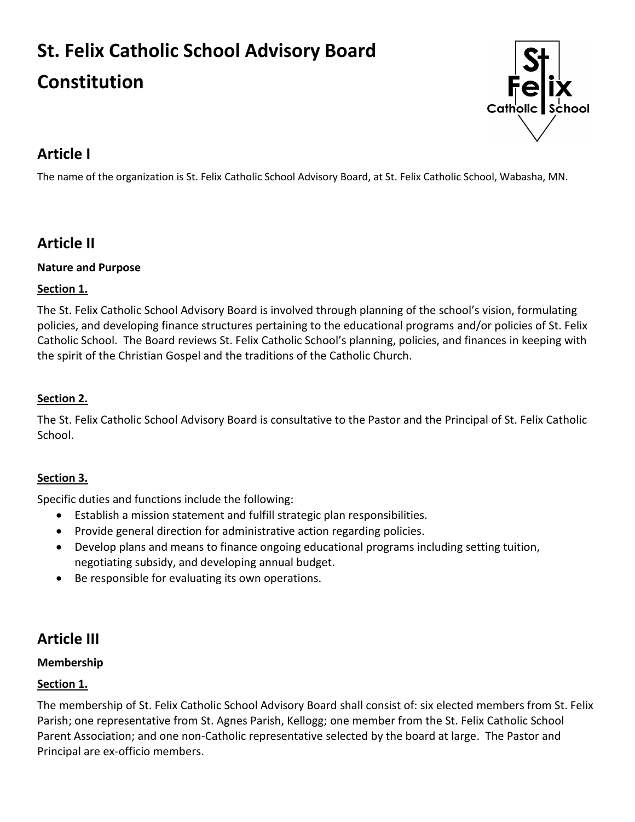# **St. Felix Catholic School Advisory Board**

## **Constitution**



## **Article I**

The name of the organization is St. Felix Catholic School Advisory Board, at St. Felix Catholic School, Wabasha, MN.

## **Article II**

#### **Nature and Purpose**

#### **Section 1.**

The St. Felix Catholic School Advisory Board is involved through planning of the school's vision, formulating policies, and developing finance structures pertaining to the educational programs and/or policies of St. Felix Catholic School. The Board reviews St. Felix Catholic School's planning, policies, and finances in keeping with the spirit of the Christian Gospel and the traditions of the Catholic Church.

#### **Section 2.**

The St. Felix Catholic School Advisory Board is consultative to the Pastor and the Principal of St. Felix Catholic School.

#### **Section 3.**

Specific duties and functions include the following:

- Establish a mission statement and fulfill strategic plan responsibilities.
- Provide general direction for administrative action regarding policies.
- Develop plans and means to finance ongoing educational programs including setting tuition, negotiating subsidy, and developing annual budget.
- Be responsible for evaluating its own operations.

## **Article III**

#### **Membership**

#### **Section 1.**

The membership of St. Felix Catholic School Advisory Board shall consist of: six elected members from St. Felix Parish; one representative from St. Agnes Parish, Kellogg; one member from the St. Felix Catholic School Parent Association; and one non-Catholic representative selected by the board at large. The Pastor and Principal are ex-officio members.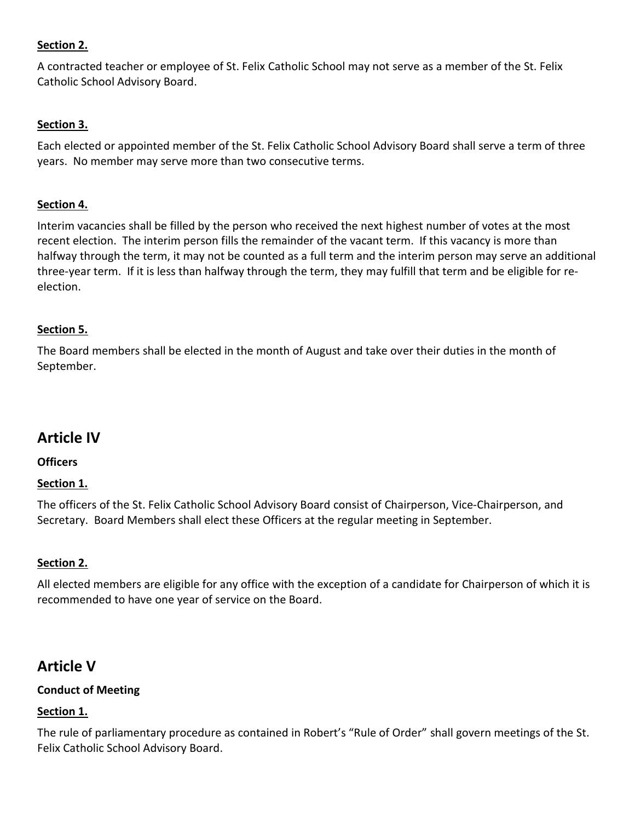#### **Section 2.**

A contracted teacher or employee of St. Felix Catholic School may not serve as a member of the St. Felix Catholic School Advisory Board.

#### **Section 3.**

Each elected or appointed member of the St. Felix Catholic School Advisory Board shall serve a term of three years. No member may serve more than two consecutive terms.

#### **Section 4.**

Interim vacancies shall be filled by the person who received the next highest number of votes at the most recent election. The interim person fills the remainder of the vacant term. If this vacancy is more than halfway through the term, it may not be counted as a full term and the interim person may serve an additional three-year term. If it is less than halfway through the term, they may fulfill that term and be eligible for reelection.

#### **Section 5.**

The Board members shall be elected in the month of August and take over their duties in the month of September.

### **Article IV**

#### **Officers**

#### **Section 1.**

The officers of the St. Felix Catholic School Advisory Board consist of Chairperson, Vice-Chairperson, and Secretary. Board Members shall elect these Officers at the regular meeting in September.

#### **Section 2.**

All elected members are eligible for any office with the exception of a candidate for Chairperson of which it is recommended to have one year of service on the Board.

## **Article V**

#### **Conduct of Meeting**

#### **Section 1.**

The rule of parliamentary procedure as contained in Robert's "Rule of Order" shall govern meetings of the St. Felix Catholic School Advisory Board.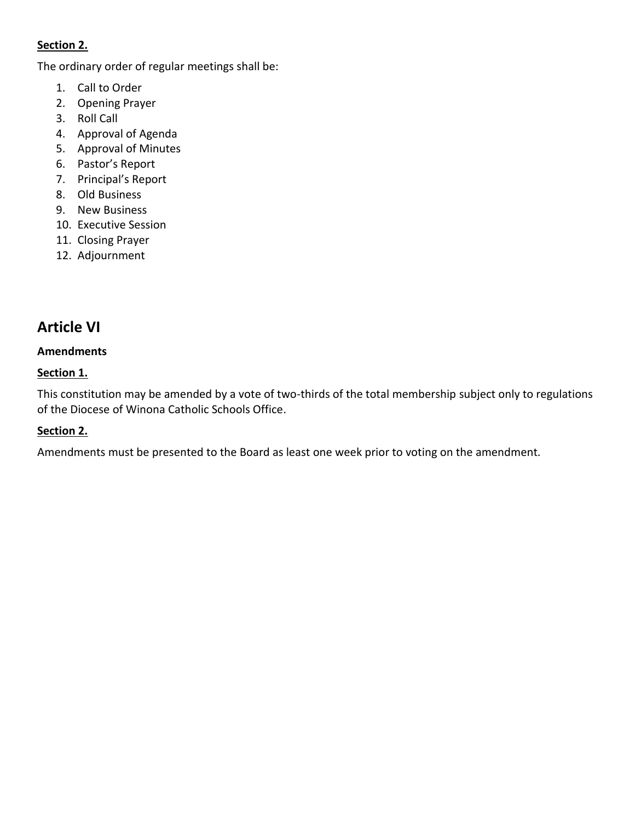#### **Section 2.**

The ordinary order of regular meetings shall be:

- 1. Call to Order
- 2. Opening Prayer
- 3. Roll Call
- 4. Approval of Agenda
- 5. Approval of Minutes
- 6. Pastor's Report
- 7. Principal's Report
- 8. Old Business
- 9. New Business
- 10. Executive Session
- 11. Closing Prayer
- 12. Adjournment

## **Article VI**

#### **Amendments**

#### **Section 1.**

This constitution may be amended by a vote of two-thirds of the total membership subject only to regulations of the Diocese of Winona Catholic Schools Office.

#### **Section 2.**

Amendments must be presented to the Board as least one week prior to voting on the amendment.